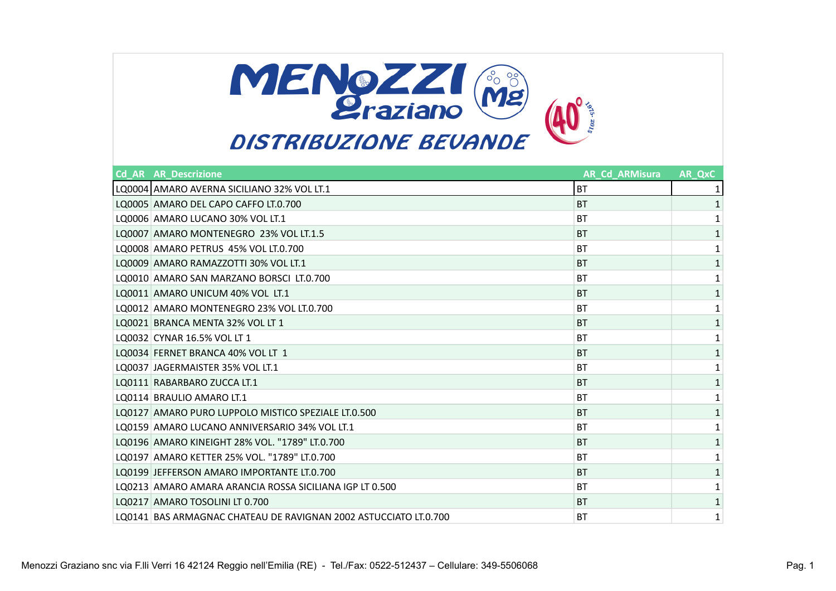

| <b>Cd AR AR Descrizione</b>                                      | <b>AR Cd ARMisura</b> | AR QxC       |
|------------------------------------------------------------------|-----------------------|--------------|
| LQ0004 AMARO AVERNA SICILIANO 32% VOL LT.1                       | <b>BT</b>             |              |
| LQ0005 AMARO DEL CAPO CAFFO LT.0.700                             | <b>BT</b>             |              |
| LO0006 AMARO LUCANO 30% VOL LT.1                                 | <b>BT</b>             | 1            |
| LQ0007 AMARO MONTENEGRO 23% VOL LT.1.5                           | <b>BT</b>             |              |
| LQ0008 AMARO PETRUS 45% VOL LT.0.700                             | BT                    |              |
| LQ0009 AMARO RAMAZZOTTI 30% VOL LT.1                             | <b>BT</b>             |              |
| LQ0010 AMARO SAN MARZANO BORSCI LT.0.700                         | <b>BT</b>             | 1            |
| LO0011 AMARO UNICUM 40% VOL LT.1                                 | <b>BT</b>             | 1            |
| LQ0012 AMARO MONTENEGRO 23% VOL LT.0.700                         | <b>BT</b>             | $\mathbf{1}$ |
| LQ0021 BRANCA MENTA 32% VOL LT 1                                 | <b>BT</b>             | 1            |
| LQ0032 CYNAR 16.5% VOL LT 1                                      | <b>BT</b>             | 1            |
| LO0034 FERNET BRANCA 40% VOL LT 1                                | <b>BT</b>             | 1            |
| LO0037 JAGERMAISTER 35% VOL LT.1                                 | BT                    |              |
| LQ0111 RABARBARO ZUCCA LT.1                                      | <b>BT</b>             | 1            |
| LO0114 BRAULIO AMARO LT.1                                        | <b>BT</b>             | 1            |
| LQ0127 AMARO PURO LUPPOLO MISTICO SPEZIALE LT.0.500              | <b>BT</b>             | 1            |
| LO0159 AMARO LUCANO ANNIVERSARIO 34% VOL LT.1                    | <b>BT</b>             | 1            |
| LQ0196 AMARO KINEIGHT 28% VOL. "1789" LT.0.700                   | <b>BT</b>             | 1            |
| LO0197 AMARO KETTER 25% VOL. "1789" LT.0.700                     | <b>BT</b>             |              |
| LO0199 JEFFERSON AMARO IMPORTANTE LT.0.700                       | <b>BT</b>             | 1            |
| LO0213 AMARO AMARA ARANCIA ROSSA SICILIANA IGP LT 0.500          | BT                    |              |
| LO0217 AMARO TOSOLINI LT 0.700                                   | <b>BT</b>             | 1            |
| LO0141 BAS ARMAGNAC CHATEAU DE RAVIGNAN 2002 ASTUCCIATO LT.0.700 | <b>BT</b>             | 1            |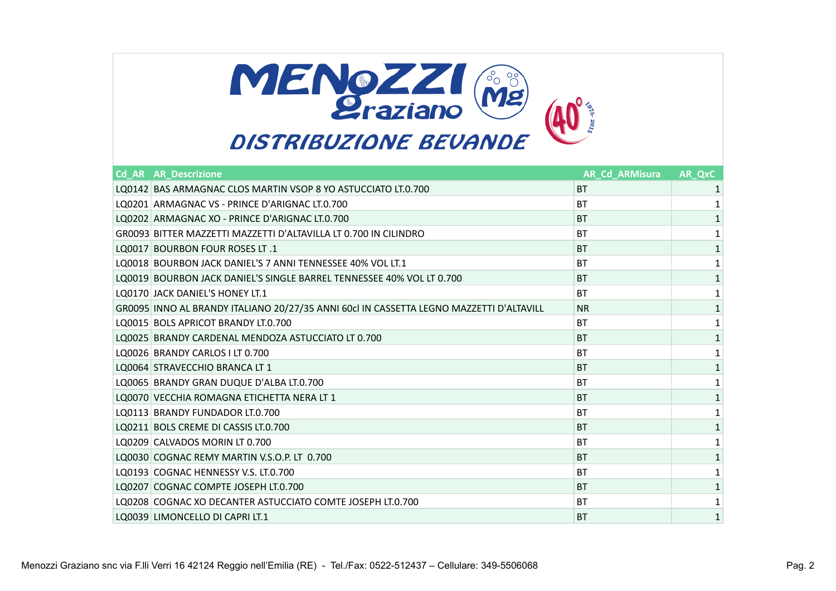

| <b>Cd AR AR Descrizione</b>                                                             | <b>AR Cd ARMisura</b> | AR QxC |
|-----------------------------------------------------------------------------------------|-----------------------|--------|
| LQ0142 BAS ARMAGNAC CLOS MARTIN VSOP 8 YO ASTUCCIATO LT.0.700                           | <b>BT</b>             | 1      |
| LO0201 ARMAGNAC VS - PRINCE D'ARIGNAC LT.0.700                                          | <b>BT</b>             |        |
| LO0202 ARMAGNAC XO - PRINCE D'ARIGNAC LT.0.700                                          | <b>BT</b>             |        |
| GR0093 BITTER MAZZETTI MAZZETTI D'ALTAVILLA LT 0.700 IN CILINDRO                        | <b>BT</b>             | 1      |
| LO0017 BOURBON FOUR ROSES LT.1                                                          | <b>BT</b>             |        |
| LQ0018 BOURBON JACK DANIEL'S 7 ANNI TENNESSEE 40% VOL LT.1                              | <b>BT</b>             |        |
| LO0019 BOURBON JACK DANIEL'S SINGLE BARREL TENNESSEE 40% VOL LT 0.700                   | <b>BT</b>             | 1      |
| LO0170 JACK DANIEL'S HONEY LT.1                                                         | <b>BT</b>             | 1      |
| GR0095 INNO AL BRANDY ITALIANO 20/27/35 ANNI 60cl IN CASSETTA LEGNO MAZZETTI D'ALTAVILL | <b>NR</b>             | 1      |
| LQ0015 BOLS APRICOT BRANDY LT.0.700                                                     | <b>BT</b>             |        |
| LQ0025 BRANDY CARDENAL MENDOZA ASTUCCIATO LT 0.700                                      | <b>BT</b>             | 1      |
| LQ0026 BRANDY CARLOS I LT 0.700                                                         | <b>BT</b>             | 1      |
| LO0064 STRAVECCHIO BRANCA LT 1                                                          | <b>BT</b>             | 1      |
| LQ0065 BRANDY GRAN DUQUE D'ALBA LT.0.700                                                | BT                    |        |
| LQ0070 VECCHIA ROMAGNA ETICHETTA NERA LT 1                                              | <b>BT</b>             | 1      |
| LO0113 BRANDY FUNDADOR LT.0.700                                                         | <b>BT</b>             | 1      |
| LQ0211 BOLS CREME DI CASSIS LT.0.700                                                    | <b>BT</b>             | 1      |
| LO0209 CALVADOS MORIN LT 0.700                                                          | <b>BT</b>             | 1      |
| LQ0030 COGNAC REMY MARTIN V.S.O.P. LT 0.700                                             | <b>BT</b>             | 1      |
| LQ0193 COGNAC HENNESSY V.S. LT.0.700                                                    | <b>BT</b>             | 1      |
| LQ0207 COGNAC COMPTE JOSEPH LT.0.700                                                    | <b>BT</b>             |        |
| LQ0208 COGNAC XO DECANTER ASTUCCIATO COMTE JOSEPH LT.0.700                              | <b>BT</b>             | 1      |
| LQ0039 LIMONCELLO DI CAPRI LT.1                                                         | <b>BT</b>             | 1      |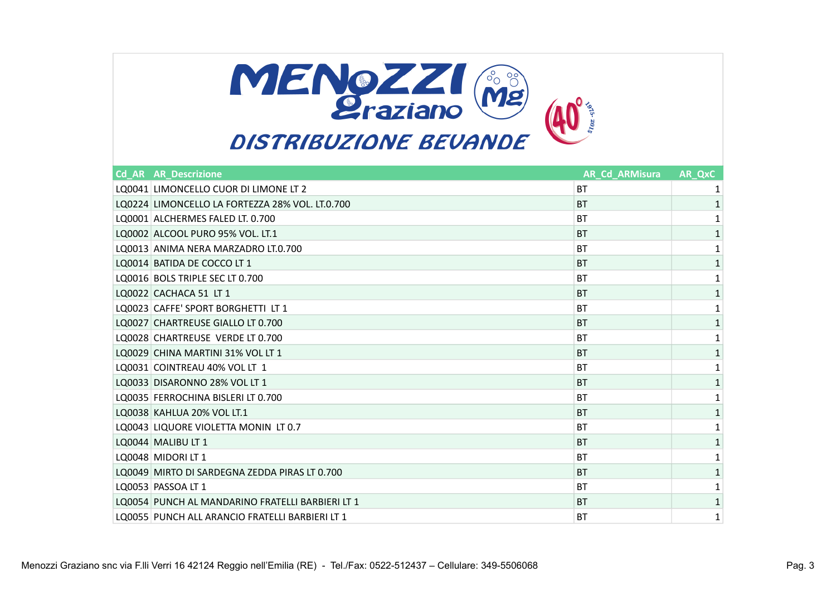

| <b>Cd AR AR Descrizione</b>                      | <b>AR Cd ARMisura</b> | AR QxC |
|--------------------------------------------------|-----------------------|--------|
| LQ0041 LIMONCELLO CUOR DI LIMONE LT 2            | <b>BT</b>             | 1      |
| LQ0224 LIMONCELLO LA FORTEZZA 28% VOL. LT.0.700  | <b>BT</b>             |        |
| LO0001 ALCHERMES FALED LT. 0.700                 | <b>BT</b>             |        |
| LQ0002 ALCOOL PURO 95% VOL. LT.1                 | <b>BT</b>             | 1      |
| LQ0013 ANIMA NERA MARZADRO LT.0.700              | BT                    |        |
| LQ0014 BATIDA DE COCCO LT 1                      | <b>BT</b>             | 1      |
| LQ0016 BOLS TRIPLE SEC LT 0.700                  | BT                    | 1      |
| LQ0022 CACHACA 51 LT 1                           | <b>BT</b>             | 1      |
| LQ0023 CAFFE' SPORT BORGHETTI LT 1               | BT                    | 1      |
| LQ0027 CHARTREUSE GIALLO LT 0.700                | <b>BT</b>             | 1      |
| LQ0028 CHARTREUSE VERDE LT 0.700                 | <b>BT</b>             |        |
| LQ0029 CHINA MARTINI 31% VOL LT 1                | <b>BT</b>             | 1      |
| LQ0031 COINTREAU 40% VOL LT 1                    | BT                    | 1      |
| LQ0033 DISARONNO 28% VOL LT 1                    | <b>BT</b>             | 1      |
| LQ0035 FERROCHINA BISLERI LT 0.700               | <b>BT</b>             | 1      |
| LQ0038 KAHLUA 20% VOL LT.1                       | <b>BT</b>             | 1      |
| LQ0043 LIQUORE VIOLETTA MONIN LT 0.7             | BT                    | 1      |
| LQ0044 MALIBU LT 1                               | <b>BT</b>             | 1      |
| LQ0048 MIDORI LT 1                               | <b>BT</b>             |        |
| LQ0049 MIRTO DI SARDEGNA ZEDDA PIRAS LT 0.700    | <b>BT</b>             | 1      |
| LQ0053 PASSOA LT 1                               | BT                    | 1      |
| LQ0054 PUNCH AL MANDARINO FRATELLI BARBIERI LT 1 | <b>BT</b>             | 1      |
| LQ0055 PUNCH ALL ARANCIO FRATELLI BARBIERI LT 1  | ВT                    | 1      |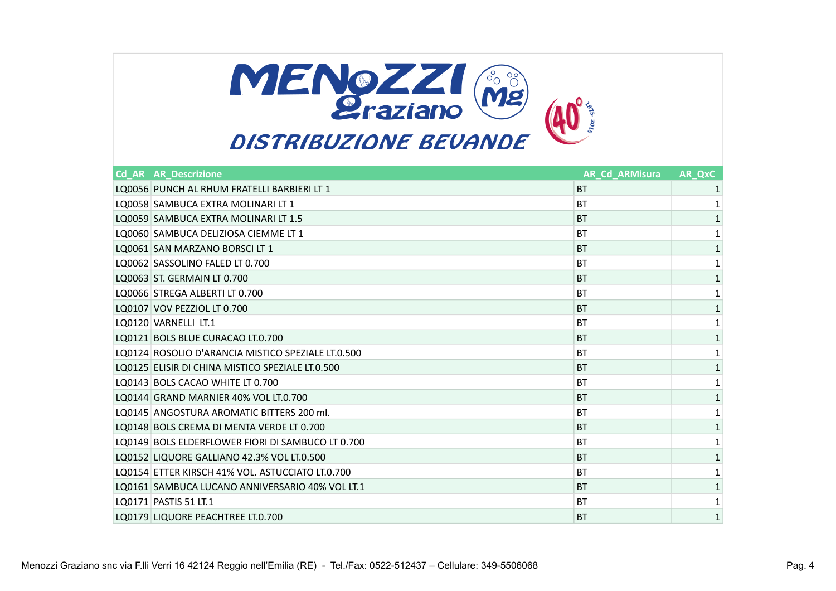

## **Cd\_AR AR\_Descrizione AR\_Cd\_ARMisura AR\_QxC** LQ0056 PUNCH AL RHUM FRATELLI BARBIERI LT 1 and 20056 PUNCH AL RHUM FRATELLI BARBIERI LT 1 and 20056 PUNCH AL RHUM FRATELLI BARBIERI LT 1 and 20056 PUNCH AL RHUM FRATELLI BARBIERI LT 1 and 20056 PUNCH AL RHUM FRATELLI BARB LQ0058 SAMBUCA EXTRA MOLINARI LT 1 BT 1 LQ0059 SAMBUCA EXTRA MOLINARI LT 1.5 BT 2.5 BT 2.5 BT 2.6 BT 2.6 BT 2.6 BT 2.6 BT 2.6 BT 2.6 BT 2.6 BT 2.6 BT 2.6 BT 2.6 BT 2.6 BT 2.6 BT 2.6 BT 2.6 BT 2.6 BT 2.6 BT 2.6 BT 2.6 BT 2.6 BT 2.6 BT 2.6 BT 2.6 BT 2.6 BT 2.6 BT LQ0060 SAMBUCA DELIZIOSA CIEMME LT 1 BT 1 LQ0061 SAN MARZANO BORSCI LT 1 BT 2 AND 100061 SAN MARZANO BORSCI LT 1 BT 2 AND 100061 SAN MARZANO BORSCI LT 1 LQ0062 SASSOLINO FALED LT 0.700 BT 2 AND 100 BT 2 AND 100 BT 2 AND 100 BT 2 AND 100 BT LQ0063 ST. GERMAIN LT 0.700 BT 1 LQ0066 STREGA ALBERTI LT 0.700 BT 1 LQ0107 VOV PEZZIOL LT 0.700 BT 2 UNIVERSITY OF THE RESERVE ENTIRE RESERVE ENTIRE RESERVE ENTIRE RESERVE ENTIRE LQ0120 VARNELLI LT.1 1 and 1 and 20120 VARNELLI LT.1 and 20120 VARNELLI LT.1 and 20120 VARNELLI LT.1 and 20120 LQ0121 BOLS BLUE CURACAO LT.0.700 BT 1 LQ0124 ROSOLIO D'ARANCIA MISTICO SPEZIALE LT.0.500 BT 1 LQ0125 ELISIR DI CHINA MISTICO SPEZIALE LT.0.500 BT 1 LQ0143 BOLS CACAO WHITE LT 0.700 BT 2 AND 100 BT 2 AND 100 BT LQ0144 GRAND MARNIER 40% VOL LT.0.700 BT 2 AM AND 1 AM AND 1 AM AND 1 AM AND 1 AM AND 1 AM AND 1 AM AND 1 AM A LQ0145 ANGOSTURA AROMATIC BITTERS 200 ml. BT AND IN EXAMPLE 200 ml and the state of the state of the state of t LQ0148 BOLS CREMA DI MENTA VERDE LT 0.700 BT 1 LQ0149 BOLS ELDERFLOWER FIORI DI SAMBUCO LT 0.700 BT 1 LQ0152 LIQUORE GALLIANO 42.3% VOL LT.0.500 BT 2 ALLIANO 1 2 ALLIANO 1 2 BT 2 ALLIANO 1 2 BT LQ0154 ETTER KIRSCH 41% VOL. ASTUCCIATO LT.0.700 BT 1 LQ0161 SAMBUCA LUCANO ANNIVERSARIO 40% VOL LT.1 and the state of the state of the state of the state of the state of the state of the state of the state of the state of the state of the state of the state of the state of t  $\blacksquare$  LQ0171 PASTIS 51 LT.1  $\blacksquare$  1

LQ0179 LIQUORE PEACHTREE LT.0.700 **BT** 1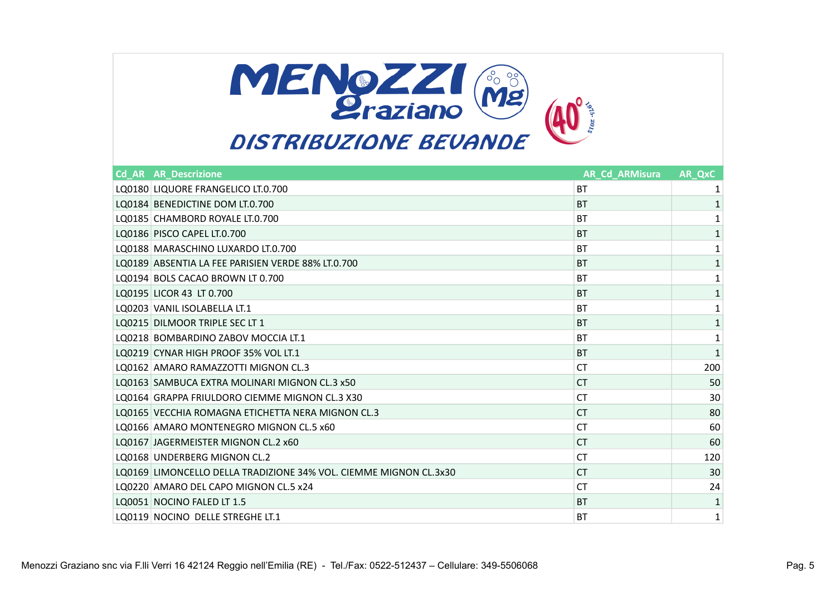

| <b>Cd AR AR Descrizione</b>                                       | <b>AR Cd ARMisura</b> | AR QxC |
|-------------------------------------------------------------------|-----------------------|--------|
| LQ0180 LIQUORE FRANGELICO LT.0.700                                | <b>BT</b>             |        |
| LQ0184 BENEDICTINE DOM LT.0.700                                   | <b>BT</b>             |        |
| LQ0185 CHAMBORD ROYALE LT.0.700                                   | <b>BT</b>             | 1      |
| LQ0186 PISCO CAPEL LT.0.700                                       | <b>BT</b>             | 1      |
| LO0188 MARASCHINO LUXARDO LT.0.700                                | BT                    | 1      |
| LO0189 ABSENTIA LA FEE PARISIEN VERDE 88% LT.0.700                | <b>BT</b>             | 1      |
| LO0194 BOLS CACAO BROWN LT 0.700                                  | BT                    | 1      |
| LQ0195 LICOR 43 LT 0.700                                          | <b>BT</b>             | 1      |
| LO0203 VANIL ISOLABELLA LT.1                                      | <b>BT</b>             | 1      |
| LQ0215 DILMOOR TRIPLE SEC LT 1                                    | <b>BT</b>             | 1      |
| LO0218 BOMBARDINO ZABOV MOCCIA LT.1                               | <b>BT</b>             | 1      |
| LO0219 CYNAR HIGH PROOF 35% VOL LT.1                              | <b>BT</b>             | 1      |
| LO0162 AMARO RAMAZZOTTI MIGNON CL.3                               | <b>CT</b>             | 200    |
| LQ0163 SAMBUCA EXTRA MOLINARI MIGNON CL.3 x50                     | <b>CT</b>             | 50     |
| LO0164 GRAPPA FRIULDORO CIEMME MIGNON CL.3 X30                    | <b>CT</b>             | 30     |
| LO0165 VECCHIA ROMAGNA ETICHETTA NERA MIGNON CL.3                 | <b>CT</b>             | 80     |
| LO0166 AMARO MONTENEGRO MIGNON CL.5 x60                           | <b>CT</b>             | 60     |
| LQ0167 JAGERMEISTER MIGNON CL.2 x60                               | <b>CT</b>             | 60     |
| LO0168 UNDERBERG MIGNON CL.2                                      | <b>CT</b>             | 120    |
| LO0169 LIMONCELLO DELLA TRADIZIONE 34% VOL. CIEMME MIGNON CL.3x30 | <b>CT</b>             | 30     |
| LO0220 AMARO DEL CAPO MIGNON CL.5 x24                             | СT                    | 24     |
| LQ0051 NOCINO FALED LT 1.5                                        | <b>BT</b>             | 1      |
| LO0119 NOCINO DELLE STREGHE LT.1                                  | BT                    | 1      |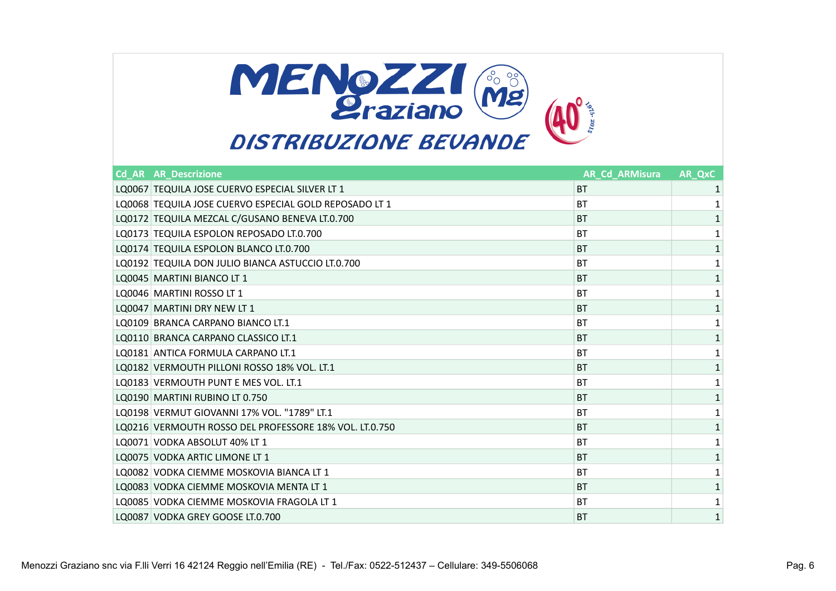

| <b>Cd AR AR Descrizione</b>                            | <b>AR Cd ARMisura</b> | AR QxC       |
|--------------------------------------------------------|-----------------------|--------------|
| LQ0067 TEQUILA JOSE CUERVO ESPECIAL SILVER LT 1        | <b>BT</b>             |              |
| LQ0068 TEQUILA JOSE CUERVO ESPECIAL GOLD REPOSADO LT 1 | <b>BT</b>             |              |
| LQ0172 TEQUILA MEZCAL C/GUSANO BENEVA LT.0.700         | <b>BT</b>             |              |
| LQ0173 TEQUILA ESPOLON REPOSADO LT.0.700               | BT                    |              |
| LQ0174 TEQUILA ESPOLON BLANCO LT.0.700                 | <b>BT</b>             |              |
| LQ0192 TEQUILA DON JULIO BIANCA ASTUCCIO LT.0.700      | BT                    | 1            |
| LQ0045 MARTINI BIANCO LT 1                             | <b>BT</b>             | 1            |
| LQ0046 MARTINI ROSSO LT 1                              | <b>BT</b>             |              |
| LQ0047 MARTINI DRY NEW LT 1                            | <b>BT</b>             | $\mathbf{1}$ |
| LO0109 BRANCA CARPANO BIANCO LT.1                      | <b>BT</b>             |              |
| LO0110 BRANCA CARPANO CLASSICO LT.1                    | <b>BT</b>             | 1            |
| LO0181 ANTICA FORMULA CARPANO LT.1                     | BT                    |              |
| LO0182 VERMOUTH PILLONI ROSSO 18% VOL. LT.1            | <b>BT</b>             | 1            |
| LO0183 VERMOUTH PUNT E MES VOL. LT.1                   | BT                    | 1            |
| LQ0190 MARTINI RUBINO LT 0.750                         | <b>BT</b>             | 1            |
| LQ0198 VERMUT GIOVANNI 17% VOL. "1789" LT.1            | <b>BT</b>             | 1            |
| LQ0216 VERMOUTH ROSSO DEL PROFESSORE 18% VOL. LT.0.750 | <b>BT</b>             | 1            |
| LQ0071 VODKA ABSOLUT 40% LT 1                          | <b>BT</b>             |              |
| LO0075 VODKA ARTIC LIMONE LT 1                         | <b>BT</b>             | 1            |
| LO0082 VODKA CIEMME MOSKOVIA BIANCA LT 1               | BT                    |              |
| LQ0083 VODKA CIEMME MOSKOVIA MENTA LT 1                | <b>BT</b>             | 1            |
| LQ0085 VODKA CIEMME MOSKOVIA FRAGOLA LT 1              | <b>BT</b>             | 1            |
| LQ0087 VODKA GREY GOOSE LT.0.700                       | <b>BT</b>             | 1            |